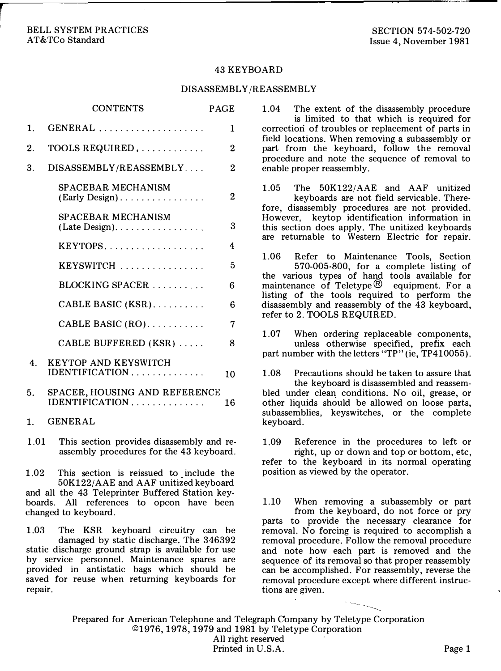#### BELL SYSTEM PRACTICES AT&TCo Standard

#### 43 KEYBOARD

#### DISASSEMBLY/REASSEMBLY

|                  | <b>CONTENTS</b>                                                               | <b>PAGE</b>    |
|------------------|-------------------------------------------------------------------------------|----------------|
| $\mathbf{1}$     |                                                                               | 1              |
| 2.               | TOOLS REQUIRED                                                                | $\overline{2}$ |
| 3.               | DISASSEMBLY/REASSEMBLY                                                        | $\overline{2}$ |
|                  | SPACEBAR MECHANISM<br>$(Early Design) \dots \dots \dots \dots \dots$          | 2              |
|                  | <b>SPACEBAR MECHANISM</b>                                                     | 3              |
|                  | $KEYTOPS$                                                                     | 4              |
|                  |                                                                               | 5              |
|                  | $BLOCKING SPACER$                                                             | 6              |
|                  | CABLE BASIC (KSR)                                                             | 6              |
|                  | CABLE BASIC $(RO)$                                                            | 7              |
|                  | CABLE BUFFERED (KSR)                                                          | 8              |
| $\overline{4}$ . | <b>KEYTOP AND KEYSWITCH</b>                                                   | 10             |
| 5.               | SPACER, HOUSING AND REFERENCE<br>$IDENTIFICATION \ldots \ldots \ldots \ldots$ | 16             |
| $\mathbf{1}$ .   | <b>GENERAL</b>                                                                |                |
| 1.01             | This section provides disassembly and re-                                     |                |

assembly procedures for the 43 keyboard.

1.02 This section is reissued to include the 50K122/AAE and AAF unitized keyboard and all the 43 Teleprinter Buffered Station keyboards. All references to opcon have been changed to keyboard.

1.03 The KSR keyboard circuitry can be damaged by static discharge. The 346392 static discharge ground strap is available for use by service personnel. Maintenance spares are provided in antistatic bags which should be saved for reuse when returning keyboards for repair.

1.04 The extent of the disassembly procedure is limited to that which is required for correction of troubles or replacement of parts in field locations. When removing a subassembly or part from the keyboard, follow the removal procedure and note the sequence of removal to enable proper reassembly.

1.05 The 50K122/AAE and AAF unitized keyboards are not field servicable. Therefore, disassembly procedures are not provided. However, keytop identification information in this section does apply. The unitized keyboards are returnable to Western Electric for repair.

1.06 Refer to Maintenance Tools, Section 570-005-800, for a complete listing of the various types of hand tools available for maintenance of Teletype  $\mathcal{B}$  equipment. For a listing of the tools required to perform the disassembly and reassembly of the 43 keyboard, refer to 2. TOOLS REQUIRED.

1.07 When ordering replaceable components, unless otherwise specified, prefix each part number with the letters "TP" (ie, TP410055).

1.08 Precautions should be taken to assure that the keyboard is disassembled and reassembled under clean conditions. No oil, grease, or other liquids should be allowed on loose parts, subassemblies, keyswitches, or the complete keyboard.

1.09 Reference in the procedures to left or right, up or down and top or bottom, etc, refer to the keyboard in its normal operating

position as viewed by the operator.

1.10 When removing a subassembly or part from the keyboard, do not force or pry parts to provide the necessary clearance for removal. No forcing is required to accomplish a removal procedure. Follow the removal procedure and note how each part is removed and the sequence of its removal so that proper reassembly can be accomplished. For reassembly, reverse the removal procedure except where different instructions are given.

 $\overline{\phantom{a}}$ 

Prepared for American Telephone and Telegraph Company by Teletype Corporation ©1976, 1978, 1979 and 1981 by Teletype Corporation All right reserved Printed in U.S.A. Page 1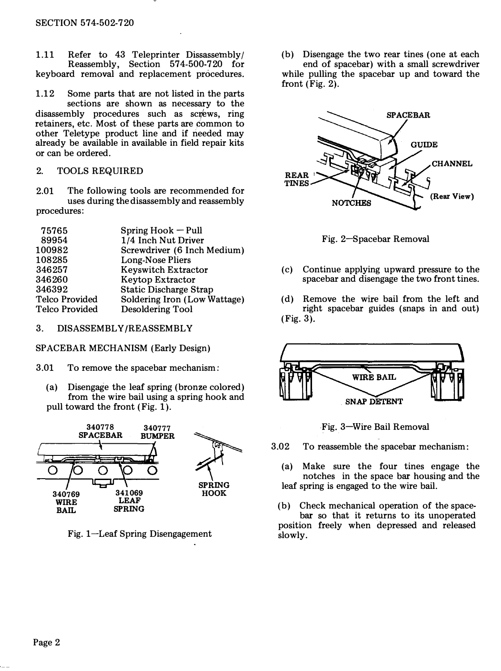1.11 Refer to 43 Teleprinter Dissassembly/ Reassembly, Section 574-500-720 for keyboard removal and replacement procedures.

1.12 Some parts that are not listed in the parts sections are shown as necessary to the disassembly procedures such as screws, ring retainers, etc. Most of these parts are common to other Teletype product line and if needed may already be available in available in field repair kits or can be ordered.

# 2. TOOLS REQUIRED

2.01 The following tools are recommended for uses during the disassembly and reassembly procedures:

| 75765          | $Spring Hook - Pull$          |
|----------------|-------------------------------|
| 89954          | 1/4 Inch Nut Driver           |
| 100982         | Screwdriver (6 Inch Medium)   |
| 108285         | Long-Nose Pliers              |
| 346257         | <b>Keyswitch Extractor</b>    |
| 346260         | Keytop Extractor              |
| 346392         | <b>Static Discharge Strap</b> |
| Telco Provided | Soldering Iron (Low Wattage)  |
| Telco Provided | Desoldering Tool              |
|                |                               |

# 3. DISASSEMBLY/REASSEMBLY

SPACEBAR MECHANISM (Early Design)

- 3.01 To remove the spacebar mechanism:
	- (a) Disengage the leaf spring (bronze colored) from the wire bail using a spring hook and pull toward the front (Fig. 1).



Fig. 1-Leaf Spring Disengagement

(b) Disengage the two rear tines (one at each end of spacebar) with a small screwdriver while pulling the spacebar up and toward the front (Fig. 2).



Fig. 2-Spacebar Removal

- (c) Continue applying upward pressure to the spacebar and disengage the two front tines.
- (d) Remove the wire bail from the left and right spacebar guides (snaps in and out) (Fig. 3).





3.02 To reassemble the spacebar mechanism:

(a) Make sure the four tines engage the notches in the space bar housing and the leaf spring is engaged to the wire bail.

(b) Check mechanical operation of the spacebar so that it returns to its unoperated position freely when depressed and released slowly.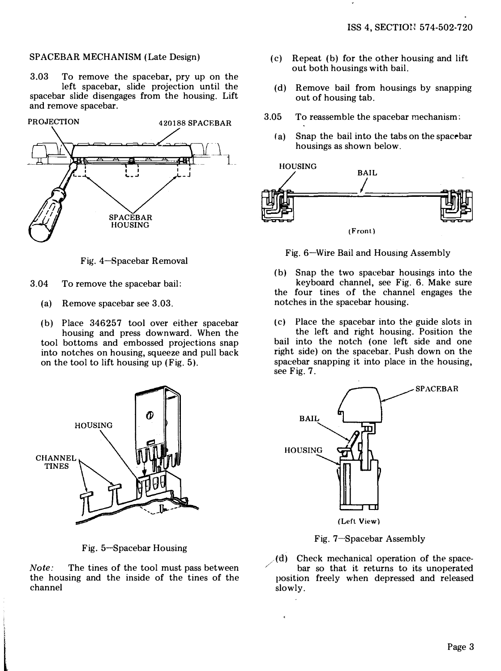### SPACEBAR MECHANISM (Late Design)

3.03 To remove the spacebar, pry up on the left spacebar, slide projection until the spacebar slide disengages from the housing. Lift and remove spacebar.



Fig. 4-Bpacebar Removal

- 3.04 To remove the spacebar bail:
	- (a) Remove spacebar see 3.03.
	- (b) Place 346257 tool over either spacebar housing and press downward. When the tool bottoms and embossed projections snap into notches on housing, squeeze and pull back on the tool to lift housing up (Fig. 5).



Fig. 5-Spacebar Housing

Note: The tines of the tool must pass between the housing and the inside of the tines of the channel

't beste aan de gewone in de gewone de gewone de gewone de gewone de gewone de gewone de gewone de gewone de g<br>De gewone de gewone de gewone de gewone de gewone de gewone de gewone de gewone de gewone de gewone de gewone

- (c) Repeat (b) for the other housing and lift out both housings with bail.
- (d) Remove bail from housings by snapping out of housing tab.
- 3.05 To reassemble the spacebar mechanism:
	- (a) Snap the bail into the tabs on the spacebar housings as shown below.



Fig. 6-Wire Bail and Housing Assembly

(b) Snap the two spacebar housings into the keyboard channel, see Fig. 6. Make sure the four tines of the channel engages the notches in the spacebar housing.

 $(c)$  Place the spacebar into the guide slots in the left and right housing. Position the bail into the notch (one left side and one right side) on the spacebar. Push down on the spacebar snapping it into place in the housing, see Fig. 7.



Fig. 7-Spacebar Assembly

(d) Check mechanical operation of the space-<br>bar so that it returns to its unoperated position freely when depressed and released slowly.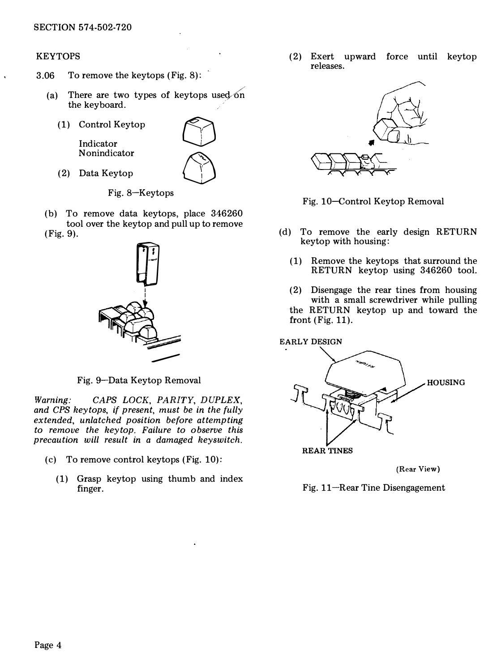# KEYTOPS

- 3.06 To remove the keytops (Fig. 8):
	- (a) There are two types of keytops used on the keyboard.
		-

N onindicator<br>(2) Data Keytop



Fig. 8-Keytops

(b) To remove data keytops, place 346260 tool over the keytop and pull up to remove (Fig. 9).



Fig. 9-Data Keytop Removal

Warning: CAPS LOCK, PARITY, DUPLEX, and CPS keytops, if present, must be in the fully extended, unlatched position before attempting to remove the keytop. Failure to observe this precaution will result in a damaged keyswitch.

- (c) To remove control keytops (Fig. 10):
	- (1) Grasp keytop using thumb and index finger.

(2) Exert upward force until keytop releases.



Fig. 10-control Keytop Removal

- (d) To remove the early design RETURN keytop with housing:
	- (1) Remove the keytops that surround the RETURN keytop using 346260 tool.
	- (2) Disengage the rear tines from housing with a small screwdriver while pulling the RETURN keytop up and toward the front (Fig. 11).





(Rear View)

Fig. 11-Rear Tine Disengagement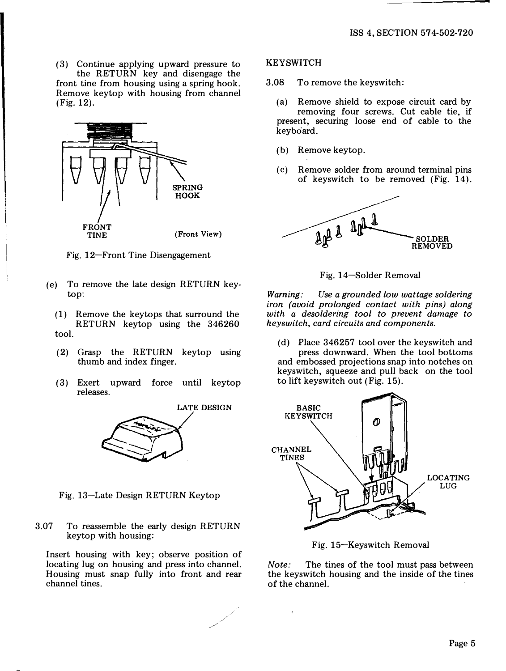(3) Continue applying upward pressure to the RETURN key and disengage the front tine from housing using a spring hook. Remove keytop with housing from channel (Fig. 12).



Fig. 12-Front Tine Disengagement

- (e) To remove the late design RETURN keytop:
	- (1) Remove the keytops that surround the RETURN keytop using the 346260 tool.
	- (2) Grasp the RETURN keytop using thumb and index finger.
	- (3) Exert upward force until keytop releases.



Fig. 13-Late Design RETURN Keytop

3.07 To reassemble the early design RETURN keytop with housing:

Insert housing with key; observe position of locating lug on housing and press into channel. Housing must snap fully into front and rear channel tines.

## **KEYSWITCH**

- 3.08 To remove the keyswitch:
	- (a) Remove shield to expose circuit card by removing four screws. Cut cable tie, if present, securing loose end of cable to the keyboard.
	- (b) Remove keytop.
	- (c) Remove solder from around terminal pins of keyswitch to be removed (Fig. 14).



Fig. 14-Solder Removal

Warning: Use a grounded low wattage soldering iron (avoid prolonged contact with pins) along with a desoldering tool to prevent damage to keyswitch, card circuits and components.

(d) Place 346257 tool over the keyswitch and press downward. When the tool bottoms and embossed projections snap into notches on keyswitch, squeeze and pull back on the tool to lift keyswitch out (Fig. 15).



Fig. 15-Keyswitch Removal

Note: The tines of the tool must pass between the keyswitch housing and the inside of the tines of the channel.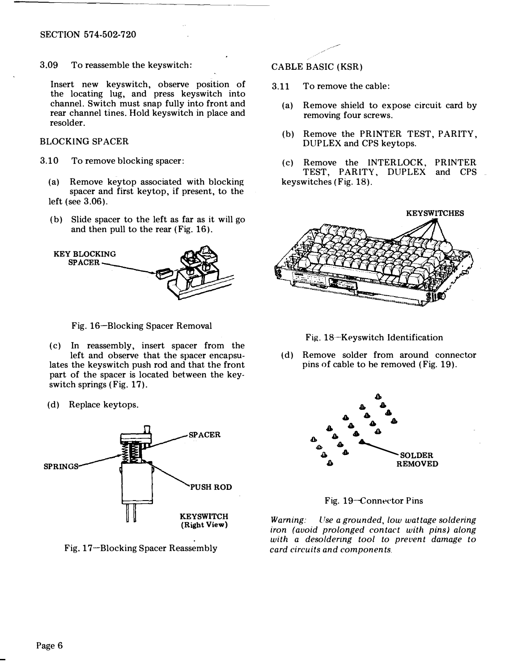3.09 To reassemble the keyswitch:

Insert new keyswitch, observe position of the locating lug, and press keyswitch into channel. Switch must snap fully into front and rear channel tines. Hold keyswitch in place and resolder.

# BLOCKING SPACER

- 3.10 To remove blocking spacer:
	- (a) Remove keytop associated with blocking spacer and first keytop, if present, to the left (see 3.06).
	- (b) Slide spacer to the left as far as it will go and then pull to the rear (Fig. 16).



Fig. 16-Blocking Spacer Removal

- (c) In reassembly, insert spacer from the left and observe that the spacer encapsulates the keyswitch push rod and that the front part of the spacer is located between the keyswitch springs (Fig. 17).
- (d) Replace keytops.



Fig. 17-Blocking Spacer Reassembly

CABLE BASIC (KSR)

- 3.11 To remove the cable:
	- (a) Remove shield to expose circuit card by removing four screws.
	- (b) Remove the PRINTER TEST, PARITY, DUPLEX and CPS keytops.
	- (c) Remove the INTERLOCK, PRINTER TEST, PARITY, DUPLEX and CPS keyswitches (Fig. 18).



Fig. 18-Keyswitch Identification

(d) Remove solder from around connector pins of cable to he removed (Fig. 19).



Fig. 19-Connector Pins

Warning: Use a grounded, low wattage soldering iron (avoid prolonged contact with pins) along with a desoldering tool to prevent damage to card circuits and components.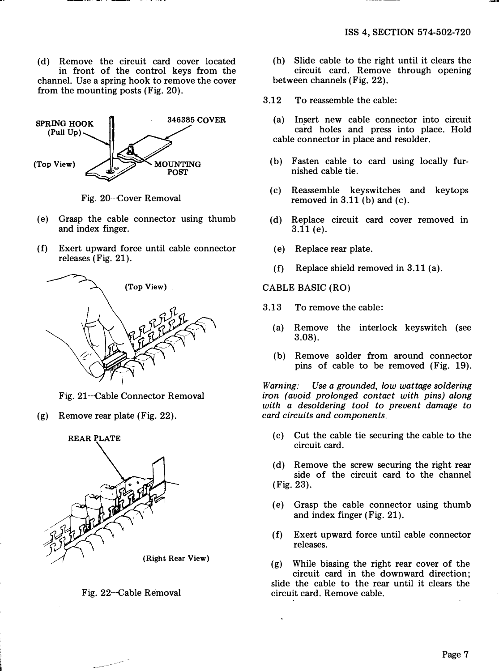(d) Remove the circuit card cover located in front of the control keys from the channel. Use a spring hook to remove the cover from the mounting posts (Fig. 20).



Fig. 20--cover Removal

- (e) Grasp the cable connector using thumb and index finger.
- (f) Exert upward force until cable connector releases (Fig. 21).



Fig. 21--cable Connector Removal

(g) Remove rear plate (Fig. 22).





- (h) Slide cable to the right until it clears the circuit card. Remove through opening between channels (Fig. 22).
- 3.12 To reassemble the cable:
	- (a) Insert new cable connector into circuit card holes and press into place. Hold cable connector in place and resolder.
	- (b) Fasten cable to card using locally furnished cable tie.
	- (c) Reassemble keyswitches and keytops removed in  $3.11$  (b) and (c).
	- (d) Replace circuit card cover removed in 3.11 (e).
	- (e) Replace rear plate.
	- (f) Replace shield removed in 3.11 (a).

CABLE BASIC (RO)

- 3.13 To remove the cable:
	- (a) Remove the interlock keyswitch (see 3.08).
	- (b) Remove solder from around connector pins of cable to be removed (Fig. 19).

Warning: Use a grounded, low wattage soldering iron (avoid prolonged contact with pins) along with a desoldering tool to prevent damage to card circuits and components.

- (c) Cut the cable tie securing the cable to the circuit card.
- (d) Remove the screw securing the right rear side of the circuit card to the channel (Fig. 23).
- (e) Grasp the cable connector using thumb and index finger (Fig. 21).
- (f) Exert upward force until cable connector releases.

(g) While biasing the right rear cover of the circuit card in the downward direction; slide the cable to the rear until it clears the circuit card. Remove cable.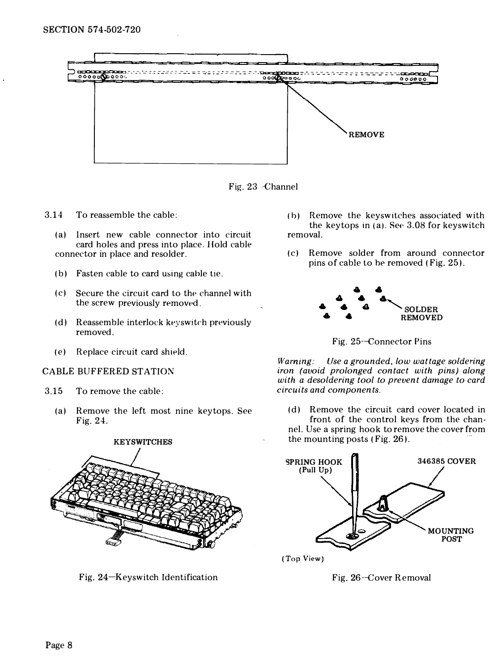

Fig. 23 Channel

- 3.14 To reassemble the cable:
	- (a) Insert new cable connector into circuit card holes and press into place. Hold cable connector in place and resolder.
	- (b) Fasten cable to card using cable tie.
	- (c) Secure the circuit card to the channel with the screw previously removed.
	- (d) Reassemble interlock keyswitch previously removed.
	- (e) Replace circuit card shield.

#### CABLE BUFFERED STATION

- 3.15 To remove the cable:
	- (a) Remove the left most nine keytops. See Fig. 24.



Fig. 24-Keyswitch Identification

- (b) Remove the keyswitches associated with the keytops in (a). See  $3.08$  for keyswitch removal.
- (c) Remove solder from around connector pins of cable to he removed (Fig. 25).



Fig. 25-Connector Pins

Warning: Use a grounded, low wattage soldering iron (avoid prolonged contact with pins) along with a desoldering tool to prevent damage to card circuits and components.

(d) Remove the circuit card cover located in front of the control keys from the channel. Use a spring hook to remove the cover from the mounting posts (Fig. 26).



(Top View)

Fig. 26-Gover Removal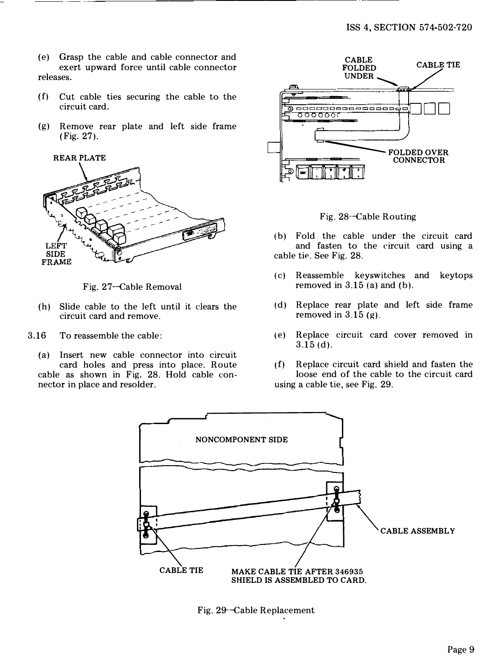- (e) Grasp the cable and cable connector and exert upward force until cable connector releases.
- (f) Cut cable ties securing the cable to the circuit card.
- (g) Remove rear plate and left side frame (Fig. 27).



Fig. 27-Cable Removal

- (h) Slide cable to the left until it dears the circuit card and remove.
- 3.16 To reassemble the cable:
	- (a) Insert new cable connector into circuit card holes and press into place. Route cable as shown in Fig. 28. Hold cable connector in place and resolder.



Fig. 28-Cable Routing

- (b) Fold the cable under the circuit card and fasten to the circuit card using a cable tie. See Fig. 28.
- (c) Reassemble keyswitches and keytops removed in  $3.15$  (a) and (b).
- (d) Replace rear plate and left side frame removed in  $3.15$  (g).
- (e) Replace circuit card cover removed in 3.15 (d).
- (f) Replace circuit card shield and fasten the loose end of the cable to the circuit card using a cable tie, see Fig. 29.



Fig. 29-Cable Replacement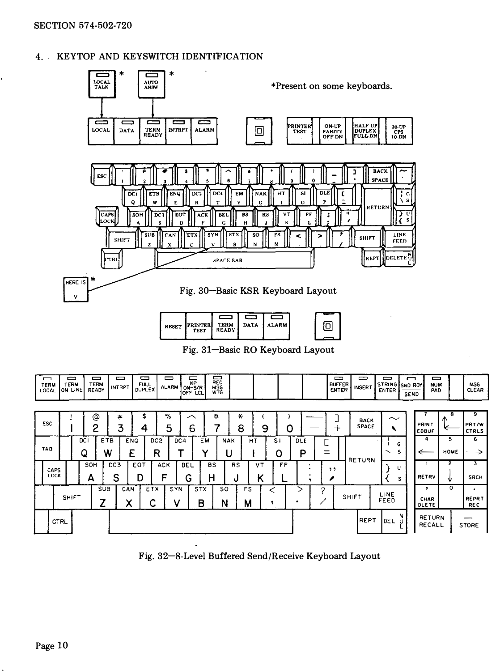# 4. KEYTOP AND KEYSWITCH IDENTIFICATION



| ESC          |              |         | @<br>0   |                      | #<br>3          | 5<br>4   | %<br>5               |     | ⌒<br>6          | a              | ∗<br>8          |         | 9                   | 0  |          | --<br>≁            | <b>BACK</b><br><b>SPACE</b> | $\sim$       | PRINT<br><b>EDBUF</b>   | 8<br>$\sqrt{2}$ | 9<br>PRT/W<br>CTRLS      |
|--------------|--------------|---------|----------|----------------------|-----------------|----------|----------------------|-----|-----------------|----------------|-----------------|---------|---------------------|----|----------|--------------------|-----------------------------|--------------|-------------------------|-----------------|--------------------------|
| TAB          |              | DC<br>٥ |          | ETB<br>W             | <b>ENQ</b><br>E |          | DC <sub>2</sub><br>R | DC4 |                 | EM<br>៶        | <b>NAK</b><br>u | НT      | S <sub>1</sub><br>O |    | DLE<br>D | ∽<br>-<br><b>-</b> | <b>RETURN</b>               | G<br>s<br>╮  | 4                       | 5<br>HOME       | 6                        |
| CAPS<br>LOCK |              |         | SOH<br>А | DC <sub>3</sub><br>S |                 | EOT<br>D | ACK<br>г             |     | <b>BEL</b><br>G | <b>BS</b><br>н | <b>RS</b><br>υ  | VT<br>n |                     | FF |          | , ,                |                             | u<br>s       | RETRV                   | 2<br>◡          | 3<br><b>SRCH</b>         |
|              | <b>SHIFT</b> |         |          | <b>SUB</b>           | CAN             |          | ETX                  | SYN | <b>STX</b><br>в |                | so<br>N         | FS<br>M |                     |    |          | n                  | SHIFT                       | LINE<br>FEED | ٠<br>CHAR<br>DLETE      | o               | ٠<br>REPRT<br><b>REC</b> |
| CTRL         |              |         |          |                      |                 |          |                      |     |                 |                |                 |         |                     |    |          |                    | <b>IREPT</b>                | N<br>DEL     | <b>RETURN</b><br>RECALL |                 | _<br><b>STORE</b>        |

ᇹ

NUM<br>PAD

MSG<br>CLEAR

Fig. 32-8-Level Buffered Send/Receive Keyboard Layout

⊟

TERM<br>LOCAL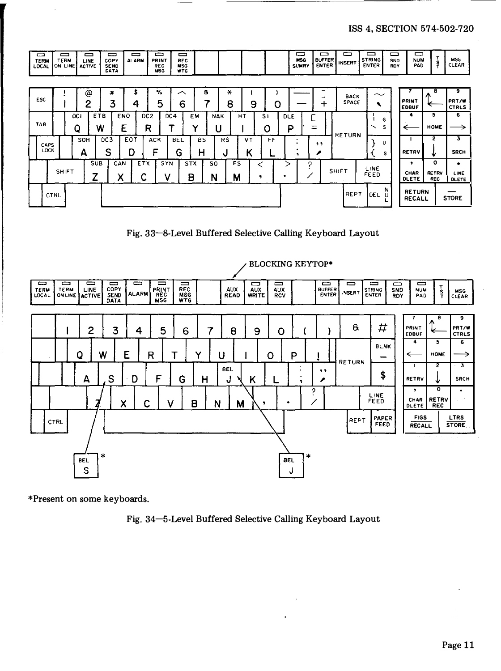| ▭<br><b>TERM</b><br>LOCAL | $\equiv$<br><b>TERM</b><br>ON LINE |          | $\equiv$<br>LINE<br><b>ACTIVE</b> | ᆖ<br>COPY<br><b>SEND</b><br>DATA |                 | -<br><b>ALARM</b> | $\equiv$<br>PRINT<br>REC<br><b>MSG</b> | $\blacksquare$<br>REC<br><b>MSG</b><br><b>WTG</b> |                 |                |                 |         |   |         |                 | ᆷ<br><b>MSG</b><br><b>SUMRY</b> | ▭<br><b>BUFFER</b><br><b>ENTER</b> | $\blacksquare$<br><b>INSERT</b> | ▭<br><b>STRING</b><br><b>ENTER</b> | —<br>SND<br>RDY | ▭<br><b>NUM</b><br>PAD         | т<br>ş                          | <b>MSG</b><br><b>CLEAR</b> |
|---------------------------|------------------------------------|----------|-----------------------------------|----------------------------------|-----------------|-------------------|----------------------------------------|---------------------------------------------------|-----------------|----------------|-----------------|---------|---|---------|-----------------|---------------------------------|------------------------------------|---------------------------------|------------------------------------|-----------------|--------------------------------|---------------------------------|----------------------------|
| <b>ESC</b>                |                                    |          | ⊚<br>2                            | #<br>3                           |                 | 4                 | %<br>5                                 | ⌒<br>6                                            |                 | 8<br>7         | ₩<br>8          |         | 9 | o       |                 |                                 | ╈                                  | <b>BACK</b><br><b>SPACE</b>     | $\widetilde{\phantom{m}}$          |                 | <b>PRINT</b><br><b>EDBUF</b>   | a                               | 9<br>PRT/W<br><b>CTRLS</b> |
| TAB                       |                                    | DC1<br>Q |                                   | ETB<br>W                         | <b>ENQ</b><br>Ε |                   | DC <sub>2</sub><br>R                   | DC4                                               | EM<br>ັ         |                | <b>NAK</b><br>U | HT      |   | S1<br>Ο | <b>DLE</b><br>Ρ |                                 | -<br>-                             |                                 | ╲                                  | G<br>s          |                                | 5<br><b>HOME</b>                | 6                          |
| CAPS<br><b>LOCK</b>       |                                    | SOH<br>А |                                   | DC <sub>3</sub><br>S             |                 | EOT<br>D          | ACK<br>F                               | <b>BEL</b><br>G                                   | н               | <b>BS</b>      | <b>RS</b><br>υ  | VT<br>κ |   | FF      |                 | ٠<br>٠<br>٠                     | ,,                                 | <b>RETURN</b>                   |                                    | U<br>s          | RETRY                          | 2<br>₩                          | з<br><b>SRCH</b>           |
|                           | <b>SHIFT</b>                       |          | <b>SUB</b><br>7                   |                                  | CAN<br>v<br>Λ   | <b>ETX</b>        |                                        | SYN                                               | <b>STX</b><br>В | <b>SO</b><br>N |                 | FS<br>М | 9 |         |                 | n                               |                                    | <b>SHIFT</b>                    | LINE<br>FEED                       |                 | ٠<br>CHAR<br><b>DLETE</b>      | ٥<br><b>RETRV</b><br><b>REC</b> | ٠<br>LINE<br><b>DLETE</b>  |
|                           | <b>CTRL</b>                        |          |                                   |                                  |                 |                   |                                        |                                                   |                 |                |                 |         |   |         |                 |                                 |                                    | REPT                            | DEL                                | N<br>υ          | <b>RETURN</b><br><b>RECALL</b> |                                 | <b>STORE</b>               |

Fig. 33-8-Level Buffered Selective Calling Keyboard Layout



\*Present on some keyboards.

Fig. 34-5-Level Buffered Selective Calling Keyboard Layout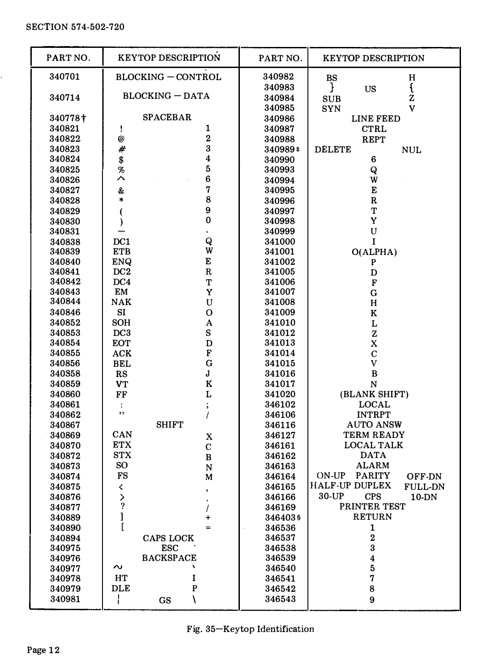l.

| PART NO.         | <b>KEYTOP DESCRIPTION</b> | PART NO.<br><b>KEYTOP DESCRIPTION</b>                       |
|------------------|---------------------------|-------------------------------------------------------------|
| 340701           | <b>BLOCKING-CONTROL</b>   | 340982<br>н<br>BS                                           |
|                  |                           | $\mathfrak{c}$<br>340983<br>}<br>US                         |
| 340714           | <b>BLOCKING - DATA</b>    | 340984<br>z<br><b>SUB</b>                                   |
|                  |                           | 340985<br>v<br><b>SYN</b>                                   |
| 340778+          | <b>SPACEBAR</b>           | 340986<br>LINE FEED                                         |
| 340821           | 1<br>ì                    | 340987<br><b>CTRL</b>                                       |
| 340822           | $\overline{2}$<br>@       | <b>REPT</b><br>340988                                       |
| 340823           | 3<br>#                    | 340989‡<br><b>DELETE</b><br><b>NUL</b>                      |
| 340824           | \$<br>4                   | 6<br>340990                                                 |
| 340825           | 5<br>%                    | Q<br>340993                                                 |
| 340826           | 6<br>ᄉ                    | W<br>340994                                                 |
| 340827           | 7<br>&                    | E<br>340995                                                 |
| 340828           | 8<br>*                    | $\mathbf R$<br>340996                                       |
| 340829           | 9<br>(                    | T<br>340997                                                 |
| 340830           | 0<br>$\mathcal{E}$        | Y<br>340998                                                 |
| 340831           |                           | U<br>340999                                                 |
| 340838           | Q<br>DC1                  | 341000<br>I                                                 |
| 340839           | W<br><b>ETB</b>           | O(ALPHA)<br>341001                                          |
| 340840           | E<br>ENQ                  | 341002<br>P                                                 |
| 340841           | $\mathbf R$<br>DC2        | 341005<br>D                                                 |
| 340842           | DC4<br>т                  | 341006<br>$\mathbf F$                                       |
| 340843           | EM<br>Y                   | 341007<br>G                                                 |
| 340844           | <b>NAK</b><br>U           | 341008<br>н                                                 |
| 340846           | SI<br>O                   | 341009<br>K                                                 |
| 340852           | <b>SOH</b><br>A           | 341010<br>L                                                 |
| 340853           | S<br>DC3                  | 341012<br>z                                                 |
| 340854           | <b>EOT</b><br>D           | X<br>341013                                                 |
| 340855           | F<br>${\rm ACK}$          | 341014<br>$\mathbf C$                                       |
| 340856           | G<br><b>BEL</b>           | V<br>341015                                                 |
| 340358           | J<br>RS                   | B<br>341016                                                 |
| 340859           | K<br><b>VT</b>            | 341017<br>N                                                 |
| 340860           | L<br>FF                   | (BLANK SHIFT)<br>341020                                     |
| 340861           | ;<br>÷<br>,,              | <b>LOCAL</b><br>346102                                      |
| 340862           | I                         | <b>INTRPT</b><br>346106                                     |
| 340867           | <b>SHIFT</b><br>CAN       | <b>AUTO ANSW</b><br>346116                                  |
| 340869           | X<br><b>ETX</b>           | TERM READY<br>346127                                        |
| 340870           | C<br><b>STX</b>           | <b>LOCAL TALK</b><br>346161<br><b>DATA</b>                  |
| 340872<br>340873 | B<br>SO.                  | 346162<br><b>ALARM</b>                                      |
| 340874           | N<br><b>FS</b>            | 346163<br>ON-UP<br><b>PARITY</b><br>346164                  |
| 340875           | M<br>≺                    | OFF-DN<br><b>HALF-UP DUPLEX</b><br><b>FULL-DN</b><br>346165 |
| 340876           | ,                         | 30-UP<br><b>CPS</b><br>346166<br>10-DN                      |
|                  | $\frac{2}{3}$             | PRINTER TEST<br>346169                                      |
| 340877<br>340889 | l<br>$\ddot{}$            | <b>RETURN</b><br>3464035                                    |
| 340890           | ſ<br>$=$                  | 1<br>346536                                                 |
| 340894           | <b>CAPS LOCK</b>          | 2<br>346537                                                 |
| 340975           | <b>ESC</b>                | 3<br>346538                                                 |
| 340976           | <b>BACKSPACE</b>          | $\overline{\mathbf{4}}$<br>346539                           |
| 340977           | $\sim$                    | 5<br>346540                                                 |
| 340978           | HT<br>I                   | 7<br>346541                                                 |
| 340979           | P<br><b>DLE</b>           | 8<br>346542                                                 |
| 340981           | ł<br>١<br>GS              | 346543<br>9                                                 |
|                  |                           |                                                             |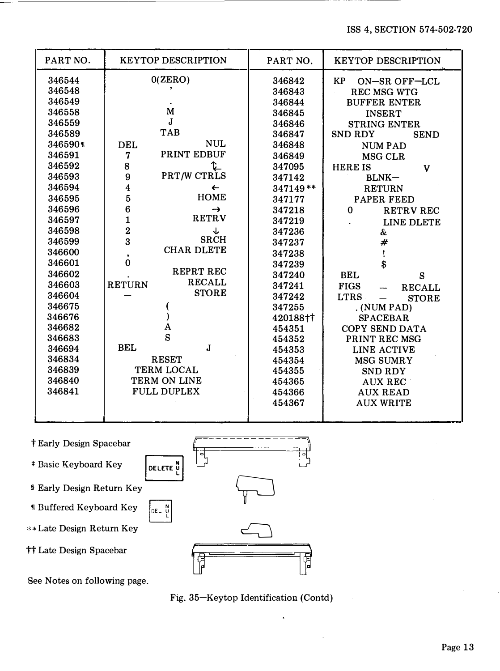| PART NO.                                                                                                                                                                                                                                                                    | <b>KEYTOP DESCRIPTION</b>                                                                                                                                                                                                                                                                                                                                                                | PART NO.                                                                                                                                                                                                                                                                         | <b>KEYTOP DESCRIPTION</b>                                                                                                                                                                                                                                                                                                                                                                                                                                                                                                          |
|-----------------------------------------------------------------------------------------------------------------------------------------------------------------------------------------------------------------------------------------------------------------------------|------------------------------------------------------------------------------------------------------------------------------------------------------------------------------------------------------------------------------------------------------------------------------------------------------------------------------------------------------------------------------------------|----------------------------------------------------------------------------------------------------------------------------------------------------------------------------------------------------------------------------------------------------------------------------------|------------------------------------------------------------------------------------------------------------------------------------------------------------------------------------------------------------------------------------------------------------------------------------------------------------------------------------------------------------------------------------------------------------------------------------------------------------------------------------------------------------------------------------|
| 346544<br>346548<br>346549<br>346558<br>346559<br>346589<br>3465901<br>346591<br>346592<br>346593<br>346594<br>346595<br>346596<br>346597<br>346598<br>346599<br>346600<br>346601<br>346602<br>346603<br>346604<br>346675<br>346676<br>346682<br>346683<br>346694<br>346834 | 0(ZERO)<br>M<br>$\mathbf{J}$<br><b>TAB</b><br><b>NUL</b><br><b>DEL</b><br>PRINT EDBUF<br>7<br>8<br>PRT/W CTRLS<br>9<br>4<br>←<br>5<br><b>HOME</b><br>6<br>→<br><b>RETRV</b><br>$\mathbf{1}$<br>$\overline{2}$<br>↓<br><b>SRCH</b><br>3<br><b>CHAR DLETE</b><br>,<br>$\bf{0}$<br>REPRT REC<br><b>RECALL</b><br><b>RETURN</b><br><b>STORE</b><br>A<br>S<br><b>BEL</b><br>J<br><b>RESET</b> | 346842<br>346843<br>346844<br>346845<br>346846<br>346847<br>346848<br>346849<br>347095<br>347142<br>$347149**$<br>347177<br>347218<br>347219<br>347236<br>347237<br>347238<br>347239<br>347240<br>347241<br>347242<br>347255<br>420188++<br>454351<br>454352<br>454353<br>454354 | <b>KP</b><br><b>ON-SR OFF-LCL</b><br><b>REC MSG WTG</b><br><b>BUFFER ENTER</b><br><b>INSERT</b><br><b>STRING ENTER</b><br><b>SND RDY</b><br><b>SEND</b><br><b>NUMPAD</b><br>MSG CLR<br><b>HERE IS</b><br>V<br>BLNK-<br><b>RETURN</b><br><b>PAPER FEED</b><br>$\Omega$<br><b>RETRV REC</b><br>LINE DLETE<br>&<br>#<br>ţ<br>\$<br><b>BEL</b><br>S<br><b>FIGS</b><br><b>RECALL</b><br><b>LTRS</b><br><b>STORE</b><br>$\equiv$<br>. (NUM PAD)<br><b>SPACEBAR</b><br><b>COPY SEND DATA</b><br>PRINT REC MSG<br>LINE ACTIVE<br>MSG SUMRY |
| 346839<br>346840<br>346841                                                                                                                                                                                                                                                  | TERM LOCAL<br>TERM ON LINE<br><b>FULL DUPLEX</b>                                                                                                                                                                                                                                                                                                                                         | 454355<br>454365<br>454366<br>454367                                                                                                                                                                                                                                             | <b>SND RDY</b><br><b>AUX REC</b><br><b>AUX READ</b><br><b>AUX WRITE</b>                                                                                                                                                                                                                                                                                                                                                                                                                                                            |
|                                                                                                                                                                                                                                                                             |                                                                                                                                                                                                                                                                                                                                                                                          |                                                                                                                                                                                                                                                                                  |                                                                                                                                                                                                                                                                                                                                                                                                                                                                                                                                    |



Fig. 35-Keytop Identification (Contd)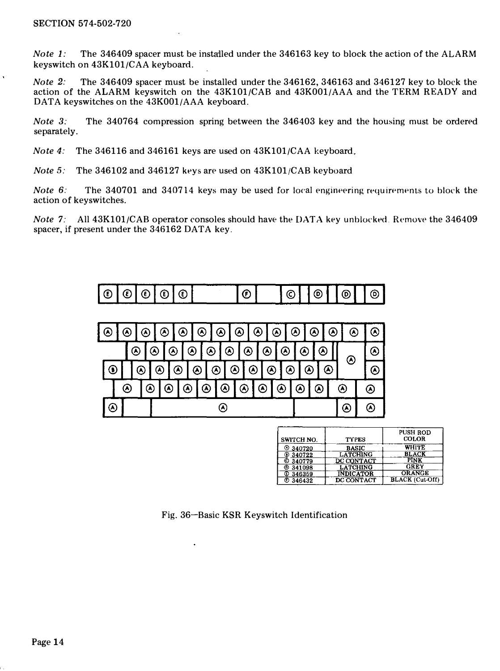*Note 1:* The 346409 spacer must be installed under the 346163 key to block the action of the ALARM keyswitch on 43K101/CAA keyboard.

Note 2: The 346409 spacer must be installed under the 346162, 346163 and 346127 key to block the action of the ALARM keyswitch on the 43K101/CAB and 43K001/AAA and the TERM READY and DATA keyswitches on the 43K001/AAA keyboard.

Note 3: The 340764 compression spring between the 346403 key and the housing must be ordered separately.

Note 4: The 346116 and 346161 keys are used on 43K101/CAA keyboard.

Note 5: The 346102 and 346127 keys are used on 43K101/CAB keyboard

*Note* 6: The 340701 and 340714 keys may be used for local engineering requirements to block the action of keyswitches.

Note 7: All  $43K101/CAB$  operator consoles should have the DATA key unblocked. Remove the 346409 spacer, if present under the 346162 DATA key.





| <b>SWITCH NO.</b> | <b>TYPES</b>     | <b>PUSH ROD</b><br><b>COLOR</b> |
|-------------------|------------------|---------------------------------|
| ◎ 340720          | <b>BASIC</b>     | WHITE                           |
| @340722           | <b>LATCHING</b>  | <b>BLACK</b>                    |
| C 340779          | DC CONTACT       | PINK                            |
| @341098           | <b>LATCHING</b>  | <b>GREY</b>                     |
| <b>C</b> 346359   | <b>INDICATOR</b> | <b>ORANGE</b>                   |
| <b>© 346432</b>   | DC CONTACT       | <b>BLACK</b> (Cut-Off)          |

Fig. 36-Basic KSR Keyswitch Identification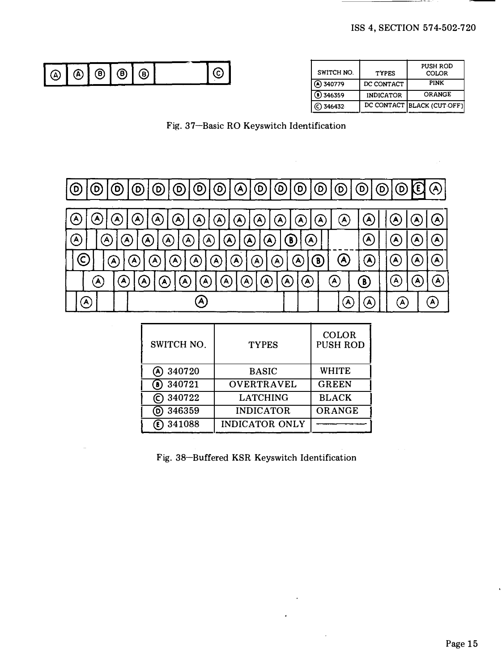| (А | 'A | ՞<br>Ð | A) | ъ | ∽<br>. پ<br>. . | SWITCH NO. | <b>TYPES</b>      | PUSH ROD<br><b>COLOR</b> |
|----|----|--------|----|---|-----------------|------------|-------------------|--------------------------|
|    |    |        |    |   |                 | (A) 340779 | CONTACT<br>m<br>. | PINK                     |

| SWITCH NO.  | <b>TYPES</b>     | PUSH ROD<br><b>COLOR</b>   |
|-------------|------------------|----------------------------|
| A 340779    | DC CONTACT       | PINK                       |
| 8) 346359   | <b>INDICATOR</b> | <b>ORANGE</b>              |
| $C)$ 346432 |                  | DC CONTACT BLACK (CUT-OFF) |

Fig. 37-Basic RO Keyswitch Identification



| SWITCH NO.    | <b>TYPES</b>          | <b>COLOR</b><br><b>PUSH ROD</b> |
|---------------|-----------------------|---------------------------------|
| 340720<br>(A) | <b>BASIC</b>          | <b>WHITE</b>                    |
| 340721<br>(B) | <b>OVERTRAVEL</b>     | <b>GREEN</b>                    |
| © 340722      | <b>LATCHING</b>       | <b>BLACK</b>                    |
| 346359<br>(D) | <b>INDICATOR</b>      | ORANGE                          |
| $(E)$ 341088  | <b>INDICATOR ONLY</b> |                                 |

Fig. 38-Buffered KSR Keyswitch Identification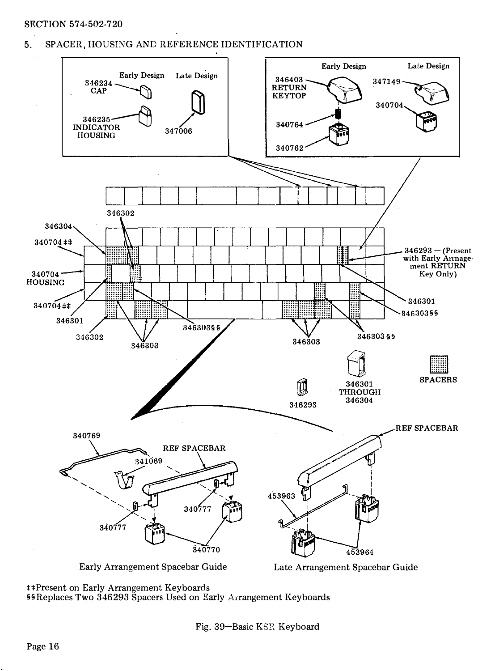# **SECTION 574-502-720**

#### SPACER, HOUSING AND REFERENCE IDENTIFICATION 5.



#Present on Early Arrangement Keyboards §§Replaces Two 346293 Spacers Used on Early Arrangement Keyboards

Fig. 39-Basic KSR Keyboard